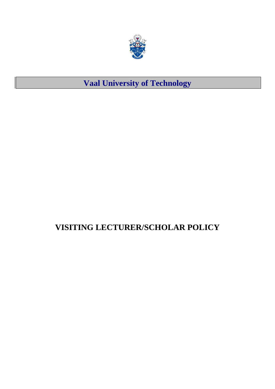

## **Vaal University of Technology**

## **VISITING LECTURER/SCHOLAR POLICY**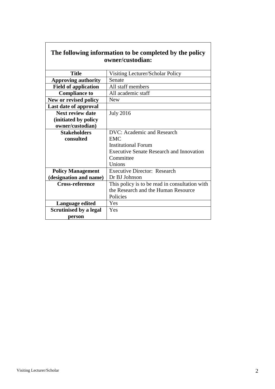| The following information to be completed by the policy |                                                |  |  |  |
|---------------------------------------------------------|------------------------------------------------|--|--|--|
| owner/custodian:                                        |                                                |  |  |  |
|                                                         |                                                |  |  |  |
| <b>Title</b>                                            | Visiting Lecturer/Scholar Policy               |  |  |  |
| <b>Approving authority</b>                              | Senate                                         |  |  |  |
| <b>Field of application</b>                             | All staff members                              |  |  |  |
| <b>Compliance to</b>                                    | All academic staff                             |  |  |  |
| New or revised policy                                   | <b>New</b>                                     |  |  |  |
| Last date of approval                                   |                                                |  |  |  |
| <b>Next review date</b>                                 | <b>July 2016</b>                               |  |  |  |
| (initiated by policy)                                   |                                                |  |  |  |
| owner/custodian)                                        |                                                |  |  |  |
| <b>Stakeholders</b>                                     | <b>DVC: Academic and Research</b>              |  |  |  |
| consulted                                               | <b>EMC</b>                                     |  |  |  |
|                                                         | <b>Institutional Forum</b>                     |  |  |  |
| <b>Executive Senate Research and Innovation</b>         |                                                |  |  |  |
| Committee                                               |                                                |  |  |  |
|                                                         | Unions                                         |  |  |  |
| <b>Policy Management</b>                                | <b>Executive Director: Research</b>            |  |  |  |
| (designation and name)                                  | Dr BJ Johnson                                  |  |  |  |
| <b>Cross-reference</b>                                  | This policy is to be read in consultation with |  |  |  |
|                                                         | the Research and the Human Resource            |  |  |  |
|                                                         | Policies                                       |  |  |  |
| <b>Language edited</b>                                  | Yes                                            |  |  |  |
| <b>Scrutinised by a legal</b>                           | Yes                                            |  |  |  |
| person                                                  |                                                |  |  |  |

# **The following information to be completed by the policy**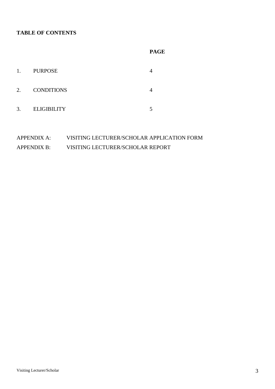#### **TABLE OF CONTENTS**

|    |                    | <b>PAGE</b> |
|----|--------------------|-------------|
| 1. | <b>PURPOSE</b>     | 4           |
| 2. | <b>CONDITIONS</b>  | 4           |
| 3. | <b>ELIGIBILITY</b> |             |

### APPENDIX A: VISITING LECTURER/SCHOLAR APPLICATION FORM APPENDIX B: VISITING LECTURER/SCHOLAR REPORT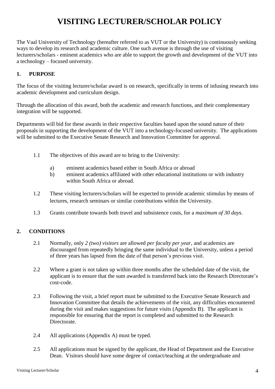## **VISITING LECTURER/SCHOLAR POLICY**

The Vaal University of Technology (hereafter referred to as VUT or the University) is continuously seeking ways to develop its research and academic culture. One such avenue is through the use of visiting lecturers/scholars - eminent academics who are able to support the growth and development of the VUT into a technology – focused university.

#### **1. PURPOSE**

The focus of the visiting lecturer/scholar award is on research, specifically in terms of infusing research into academic development and curriculum design.

Through the allocation of this award, both the academic and research functions, and their complementary integration will be supported.

Departments will bid for these awards in their respective faculties based upon the sound nature of their proposals in supporting the development of the VUT into a technology-focused university. The applications will be submitted to the Executive Senate Research and Innovation Committee for approval.

- 1.1 The objectives of this award are to bring to the University:
	- a) eminent academics based either in South Africa or abroad
	- b) eminent academics affiliated with other educational institutions or with industry within South Africa or abroad.
- 1.2 These visiting lecturers/scholars will be expected to provide academic stimulus by means of lectures, research seminars or similar contributions within the University.
- 1.3 Grants contribute towards both travel and subsistence costs, for a *maximum of 30 days*.

#### **2. CONDITIONS**

- 2.1 Normally, only *2 (two) visitors* are allowed *per faculty per year*, and academics are discouraged from repeatedly bringing the same individual to the University, unless a period of three years has lapsed from the date of that person's previous visit.
- 2.2 Where a grant is not taken up within three months after the scheduled date of the visit, the applicant is to ensure that the sum awarded is transferred back into the Research Directorate's cost-code.
- 2.3 Following the visit, a brief report must be submitted to the Executive Senate Research and Innovation Committee that details the achievements of the visit, any difficulties encountered during the visit and makes suggestions for future visits (Appendix B). The applicant is responsible for ensuring that the report is completed and submitted to the Research Directorate.
- 2.4 All applications (Appendix A) must be typed.
- 2.5 All applications must be signed by the applicant, the Head of Department and the Executive Dean. Visitors should have some degree of contact/teaching at the undergraduate and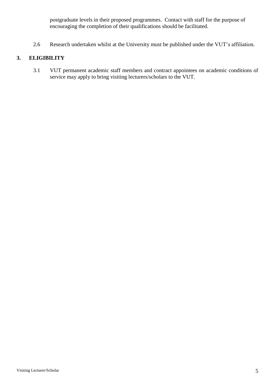postgraduate levels in their proposed programmes. Contact with staff for the purpose of encouraging the completion of their qualifications should be facilitated.

2.6 Research undertaken whilst at the University must be published under the VUT's affiliation.

#### **3. ELIGIBILITY**

3.1 VUT permanent academic staff members and contract appointees on academic conditions of service may apply to bring visiting lecturers/scholars to the VUT.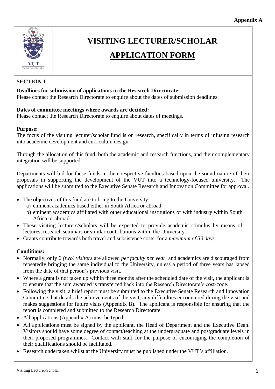

## **VISITING LECTURER/SCHOLAR**

## **APPLICATION FORM**

### **SECTION 1**

#### **Deadlines for submission of applications to the Research Directorate:**

Please contact the Research Directorate to enquire about the dates of submission deadlines.

#### **Dates of committee meetings where awards are decided:**

Please contact the Research Directorate to enquire about dates of meetings.

#### **Purpose:**

The focus of the visiting lecturer/scholar fund is on research, specifically in terms of infusing research into academic development and curriculum design.

Through the allocation of this fund, both the academic and research functions, and their complementary integration will be supported.

Departments will bid for these funds in their respective faculties based upon the sound nature of their proposals in supporting the development of the VUT into a technology-focused university. The applications will be submitted to the Executive Senate Research and Innovation Committee for approval.

- The objectives of this fund are to bring to the University:
	- a) eminent academics based either in South Africa or abroad
	- b) eminent academics affiliated with other educational institutions or with industry within South Africa or abroad.
- These visiting lecturers/scholars will be expected to provide academic stimulus by means of lectures, research seminars or similar contributions within the University.
- Grants contribute towards both travel and subsistence costs, for a *maximum of 30 days*.

#### **Conditions:**

- Normally, only *2 (two) visitors* are allowed *per faculty per year*, and academics are discouraged from repeatedly bringing the same individual to the University, unless a period of three years has lapsed from the date of that person's previous visit.
- Where a grant is not taken up within three months after the scheduled date of the visit, the applicant is to ensure that the sum awarded is transferred back into the Research Directorate's cost-code.
- Following the visit, a brief report must be submitted to the Executive Senate Research and Innovation Committee that details the achievements of the visit, any difficulties encountered during the visit and makes suggestions for future visits (Appendix B). The applicant is responsible for ensuring that the report is completed and submitted to the Research Directorate.
- All applications (Appendix A) must be typed.
- All applications must be signed by the applicant, the Head of Department and the Executive Dean. Visitors should have some degree of contact/teaching at the undergraduate and postgraduate levels in their proposed programmes. Contact with staff for the purpose of encouraging the completion of their qualifications should be facilitated.
- Research undertaken whilst at the University must be published under the VUT's affiliation.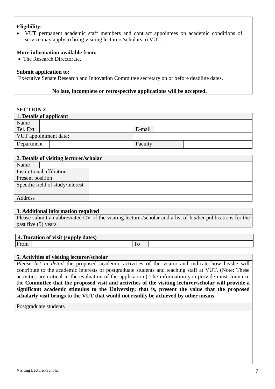#### **Eligibility:**

 VUT permanent academic staff members and contract appointees on academic conditions of service may apply to bring visiting lecturers/scholars to VUT.

#### **More information available from:**

• The Research Directorate.

#### **Submit application to:**

Executive Senate Research and Innovation Committee secretary on or before deadline dates.

#### **No late, incomplete or retrospective applications will be accepted.**

#### **SECTION 2**

| 1. Details of applicant |  |         |  |
|-------------------------|--|---------|--|
| Name                    |  |         |  |
| Tel. Ext                |  | E-mail  |  |
| VUT appointment date:   |  |         |  |
| Department              |  | Faculty |  |

| 2. Details of visiting lecturer/scholar |  |  |  |
|-----------------------------------------|--|--|--|
| Name                                    |  |  |  |
| Institutional affiliation               |  |  |  |
| Present position                        |  |  |  |
| Specific field of study/interest        |  |  |  |
|                                         |  |  |  |
| Address                                 |  |  |  |

#### **3. Additional information required**

Please submit an abbreviated CV of the visiting lecturer/scholar and a list of his/her publications for the past five (5) years.

#### **4. Duration of visit (supply dates)**

From To

#### **5. Activities of visiting lecturer/scholar**

*Please list in detail* the proposed academic activities of the visitor and indicate how he/she will contribute to the academic interests of postgraduate students and teaching staff at VUT. (Note: These activities are critical in the evaluation of the application.) The information you provide must convince the **Committee that the proposed visit and activities of the visiting lecturer/scholar will provide a significant academic stimulus to the University; that is, present the value that the proposed scholarly visit brings to the VUT that would not readily be achieved by other means.**

Postgraduate students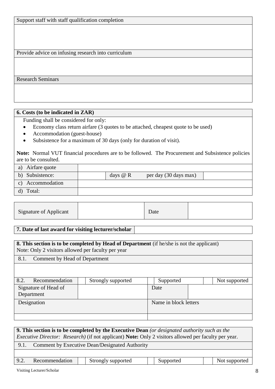Support staff with staff qualification completion

Provide advice on infusing research into curriculum

Research Seminars

#### **6. Costs (to be indicated in ZAR)**

Funding shall be considered for only:

- Economy class return airfare (3 quotes to be attached, cheapest quote to be used)
- Accommodation (guest-house)
- Subsistence for a maximum of 30 days (only for duration of visit).

**Note:** Normal VUT financial procedures are to be followed. The Procurement and Subsistence policies are to be consulted.

| Airfare quote<br>a)              |            |                       |
|----------------------------------|------------|-----------------------|
| b) Subsistence:                  | days $@$ R | per day (30 days max) |
| Accommodation<br>$\mathcal{C}$ ) |            |                       |
| Total:                           |            |                       |

| <b>Signature of Applicant</b> |  | Date |  |
|-------------------------------|--|------|--|
|-------------------------------|--|------|--|

#### **7. Date of last award for visiting lecturer/scholar**

| <b>8. This section is to be completed by Head of Department</b> (if he/she is not the applicant)<br>Note: Only 2 visitors allowed per faculty per year |                    |                       |  |               |
|--------------------------------------------------------------------------------------------------------------------------------------------------------|--------------------|-----------------------|--|---------------|
| Comment by Head of Department<br>8.1.                                                                                                                  |                    |                       |  |               |
|                                                                                                                                                        |                    |                       |  |               |
| 8.2.<br>Recommendation                                                                                                                                 | Strongly supported | Supported             |  | Not supported |
| Signature of Head of                                                                                                                                   |                    | Date                  |  |               |
| Department                                                                                                                                             |                    |                       |  |               |
| Designation                                                                                                                                            |                    | Name in block letters |  |               |
|                                                                                                                                                        |                    |                       |  |               |
|                                                                                                                                                        |                    |                       |  |               |

| <b>9. This section is to be completed by the Executive Dean</b> (or designated authority such as the<br><i>Executive Director: Research</i> ) (if not applicant) <b>Note:</b> Only 2 visitors allowed per faculty per year. |  |  |  |  |  |  |  |
|-----------------------------------------------------------------------------------------------------------------------------------------------------------------------------------------------------------------------------|--|--|--|--|--|--|--|
| Comment by Executive Dean/Designated Authority<br>9.1.                                                                                                                                                                      |  |  |  |  |  |  |  |
|                                                                                                                                                                                                                             |  |  |  |  |  |  |  |
| 9.2.<br>Recommendation<br>Strongly supported<br>Supported<br>Not supported                                                                                                                                                  |  |  |  |  |  |  |  |
| Visiting Lecturer/Scholar<br>8                                                                                                                                                                                              |  |  |  |  |  |  |  |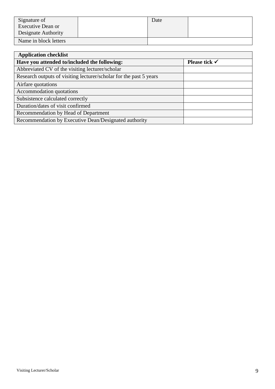| Signature of          | Date |  |
|-----------------------|------|--|
| Executive Dean or     |      |  |
| Designate Authority   |      |  |
| Name in block letters |      |  |

| <b>Application checklist</b>                                       |                          |
|--------------------------------------------------------------------|--------------------------|
| Have you attended to/included the following:                       | Please tick $\checkmark$ |
| Abbreviated CV of the visiting lecturer/scholar                    |                          |
| Research outputs of visiting lecturer/scholar for the past 5 years |                          |
| Airfare quotations                                                 |                          |
| Accommodation quotations                                           |                          |
| Subsistence calculated correctly                                   |                          |
| Duration/dates of visit confirmed                                  |                          |
| Recommendation by Head of Department                               |                          |
| Recommendation by Executive Dean/Designated authority              |                          |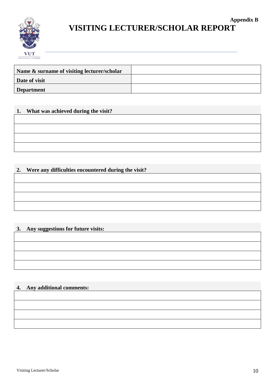

### **Appendix B VISITING LECTURER/SCHOLAR REPORT**

| Name & surname of visiting lecturer/scholar |  |
|---------------------------------------------|--|
| Date of visit                               |  |
| <b>Department</b>                           |  |

#### **1. What was achieved during the visit?**

#### **2. Were any difficulties encountered during the visit?**

### **3. Any suggestions for future visits:**

### **4. Any additional comments:**